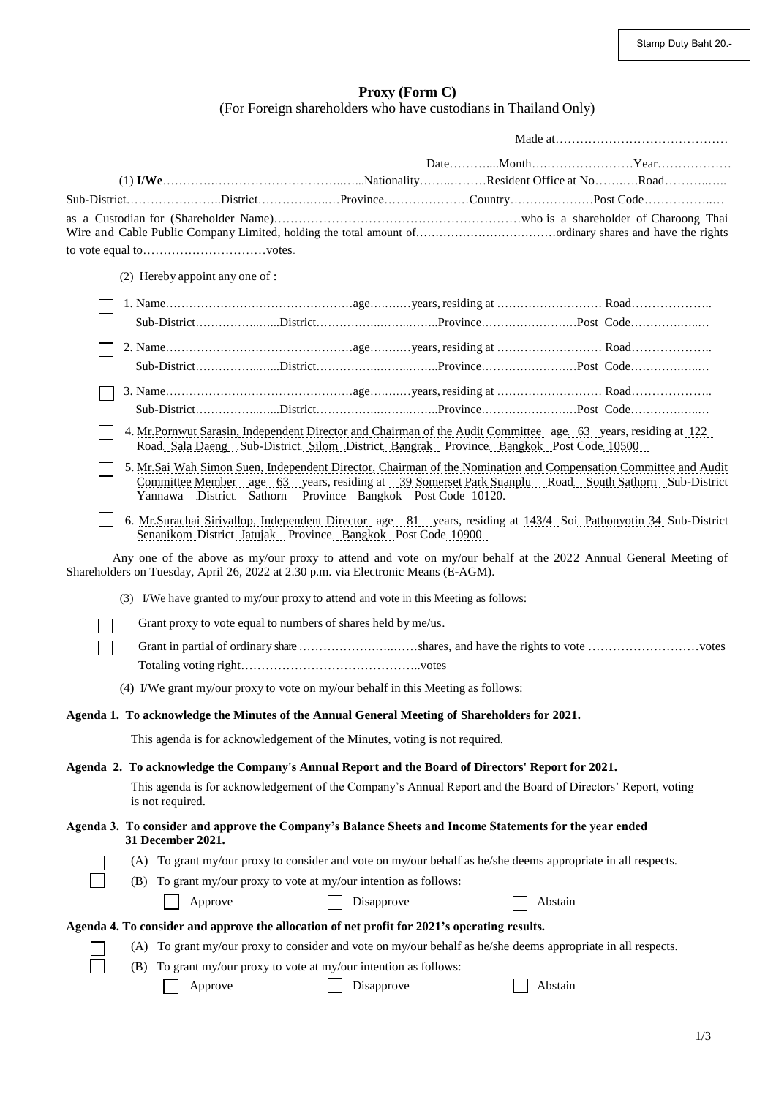## **Proxy (Form C)** (For Foreign shareholders who have custodians in Thailand Only)

|  |                                                                                                                              |                                                                                                              | Sub-DistrictDistrictProvinceCountryPost Code                                                                                                                                                                     |  |
|--|------------------------------------------------------------------------------------------------------------------------------|--------------------------------------------------------------------------------------------------------------|------------------------------------------------------------------------------------------------------------------------------------------------------------------------------------------------------------------|--|
|  |                                                                                                                              |                                                                                                              |                                                                                                                                                                                                                  |  |
|  | (2) Hereby appoint any one of :                                                                                              |                                                                                                              |                                                                                                                                                                                                                  |  |
|  |                                                                                                                              |                                                                                                              |                                                                                                                                                                                                                  |  |
|  |                                                                                                                              |                                                                                                              |                                                                                                                                                                                                                  |  |
|  |                                                                                                                              |                                                                                                              |                                                                                                                                                                                                                  |  |
|  |                                                                                                                              |                                                                                                              |                                                                                                                                                                                                                  |  |
|  |                                                                                                                              | Road Sala Daeng Sub-District Silom District Bangrak Province Bangkok Post Code 10500                         | 4. Mr. Pornwut Sarasin, Independent Director and Chairman of the Audit Committee age 63 years, residing at 122                                                                                                   |  |
|  |                                                                                                                              | Yannawa District Sathorn Province Bangkok Post Code 10120.                                                   | 5. Mr.Sai Wah Simon Suen, Independent Director, Chairman of the Nomination and Compensation Committee and Audit<br>Committee Memberage63years, residing at 39 Somerset Park SuanpluRoadSouth SathornSub-District |  |
|  | Senanikom District Jatujak Province Bangkok Post Code 10900                                                                  |                                                                                                              | 6. Mr.Surachai Sirivallop, Independent Director age 81 years, residing at 143/4 Soi Pathonyotin 34 Sub-District                                                                                                  |  |
|  | Shareholders on Tuesday, April 26, 2022 at 2.30 p.m. via Electronic Means (E-AGM).                                           |                                                                                                              | Any one of the above as my/our proxy to attend and vote on my/our behalf at the 2022 Annual General Meeting of                                                                                                   |  |
|  | (3) I/We have granted to my/our proxy to attend and vote in this Meeting as follows:                                         |                                                                                                              |                                                                                                                                                                                                                  |  |
|  | Grant proxy to vote equal to numbers of shares held by me/us.                                                                |                                                                                                              |                                                                                                                                                                                                                  |  |
|  |                                                                                                                              |                                                                                                              |                                                                                                                                                                                                                  |  |
|  | (4) I/We grant my/our proxy to vote on my/our behalf in this Meeting as follows:                                             |                                                                                                              |                                                                                                                                                                                                                  |  |
|  | Agenda 1. To acknowledge the Minutes of the Annual General Meeting of Shareholders for 2021.                                 |                                                                                                              |                                                                                                                                                                                                                  |  |
|  |                                                                                                                              | This agenda is for acknowledgement of the Minutes, voting is not required.                                   |                                                                                                                                                                                                                  |  |
|  | Agenda 2. To acknowledge the Company's Annual Report and the Board of Directors' Report for 2021.                            |                                                                                                              |                                                                                                                                                                                                                  |  |
|  | is not required.                                                                                                             | This agenda is for acknowledgement of the Company's Annual Report and the Board of Directors' Report, voting |                                                                                                                                                                                                                  |  |
|  | Agenda 3. To consider and approve the Company's Balance Sheets and Income Statements for the year ended<br>31 December 2021. |                                                                                                              |                                                                                                                                                                                                                  |  |
|  |                                                                                                                              | (A) To grant my/our proxy to consider and vote on my/our behalf as he/she deems appropriate in all respects. |                                                                                                                                                                                                                  |  |
|  | To grant my/our proxy to vote at my/our intention as follows:<br>(B)                                                         |                                                                                                              |                                                                                                                                                                                                                  |  |
|  | Approve                                                                                                                      | Disapprove                                                                                                   | Abstain                                                                                                                                                                                                          |  |
|  | Agenda 4. To consider and approve the allocation of net profit for 2021's operating results.                                 | (A) To grant my/our proxy to consider and vote on my/our behalf as he/she deems appropriate in all respects. |                                                                                                                                                                                                                  |  |
|  | To grant my/our proxy to vote at my/our intention as follows:<br>(B)                                                         |                                                                                                              |                                                                                                                                                                                                                  |  |
|  | Approve                                                                                                                      | Disapprove                                                                                                   | Abstain                                                                                                                                                                                                          |  |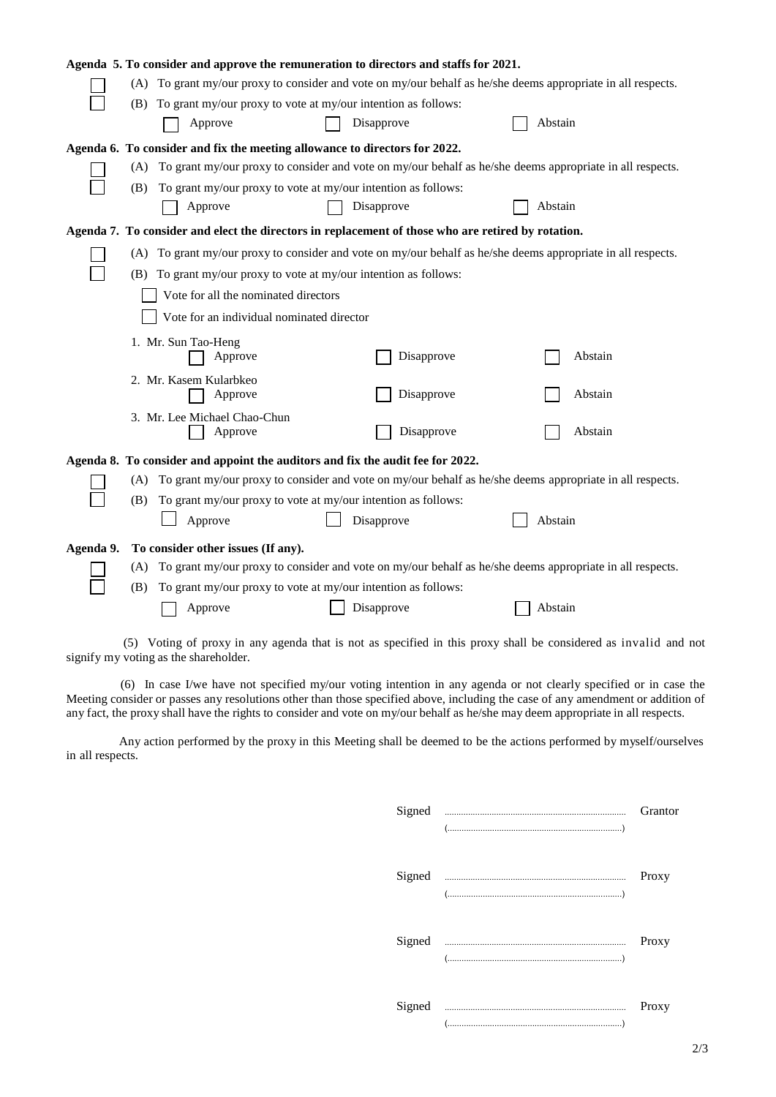|           | Agenda 5. To consider and approve the remuneration to directors and staffs for 2021.                         |                                                                                                              |                                                                                                                 |  |  |  |
|-----------|--------------------------------------------------------------------------------------------------------------|--------------------------------------------------------------------------------------------------------------|-----------------------------------------------------------------------------------------------------------------|--|--|--|
|           |                                                                                                              | (A) To grant my/our proxy to consider and vote on my/our behalf as he/she deems appropriate in all respects. |                                                                                                                 |  |  |  |
|           | (B) To grant my/our proxy to vote at my/our intention as follows:                                            |                                                                                                              |                                                                                                                 |  |  |  |
|           | Approve                                                                                                      | Disapprove                                                                                                   | Abstain                                                                                                         |  |  |  |
|           | Agenda 6. To consider and fix the meeting allowance to directors for 2022.                                   |                                                                                                              |                                                                                                                 |  |  |  |
|           | (A)                                                                                                          |                                                                                                              | To grant my/our proxy to consider and vote on my/our behalf as he/she deems appropriate in all respects.        |  |  |  |
|           | To grant my/our proxy to vote at my/our intention as follows:<br>(B)                                         |                                                                                                              |                                                                                                                 |  |  |  |
|           | Approve                                                                                                      | Disapprove                                                                                                   | Abstain                                                                                                         |  |  |  |
|           | Agenda 7. To consider and elect the directors in replacement of those who are retired by rotation.           |                                                                                                              |                                                                                                                 |  |  |  |
|           |                                                                                                              |                                                                                                              | (A) To grant my/our proxy to consider and vote on my/our behalf as he/she deems appropriate in all respects.    |  |  |  |
|           | (B) To grant my/our proxy to vote at my/our intention as follows:                                            |                                                                                                              |                                                                                                                 |  |  |  |
|           | Vote for all the nominated directors                                                                         |                                                                                                              |                                                                                                                 |  |  |  |
|           | Vote for an individual nominated director                                                                    |                                                                                                              |                                                                                                                 |  |  |  |
|           | 1. Mr. Sun Tao-Heng                                                                                          |                                                                                                              |                                                                                                                 |  |  |  |
|           | Approve                                                                                                      | Disapprove                                                                                                   | Abstain                                                                                                         |  |  |  |
|           | 2. Mr. Kasem Kularbkeo                                                                                       |                                                                                                              |                                                                                                                 |  |  |  |
|           | Approve                                                                                                      | Disapprove                                                                                                   | Abstain                                                                                                         |  |  |  |
|           | 3. Mr. Lee Michael Chao-Chun<br>Approve                                                                      | Disapprove                                                                                                   | Abstain                                                                                                         |  |  |  |
|           |                                                                                                              |                                                                                                              |                                                                                                                 |  |  |  |
|           | Agenda 8. To consider and appoint the auditors and fix the audit fee for 2022.                               |                                                                                                              |                                                                                                                 |  |  |  |
|           | (A)                                                                                                          |                                                                                                              | To grant my/our proxy to consider and vote on my/our behalf as he/she deems appropriate in all respects.        |  |  |  |
|           | To grant my/our proxy to vote at my/our intention as follows:<br>(B)                                         |                                                                                                              |                                                                                                                 |  |  |  |
|           | Approve                                                                                                      | Disapprove                                                                                                   | Abstain                                                                                                         |  |  |  |
| Agenda 9. | To consider other issues (If any).                                                                           |                                                                                                              |                                                                                                                 |  |  |  |
|           | (A) To grant my/our proxy to consider and vote on my/our behalf as he/she deems appropriate in all respects. |                                                                                                              |                                                                                                                 |  |  |  |
|           | To grant my/our proxy to vote at my/our intention as follows:<br>(B)                                         |                                                                                                              |                                                                                                                 |  |  |  |
|           | Approve                                                                                                      | Disapprove                                                                                                   | Abstain                                                                                                         |  |  |  |
|           |                                                                                                              |                                                                                                              | (5) Voting of proxy in any agenda that is not as specified in this proxy shall be considered as invalid and not |  |  |  |
|           | signify my voting as the shareholder.                                                                        |                                                                                                              |                                                                                                                 |  |  |  |

(6) In case I/we have not specified my/our voting intention in any agenda or not clearly specified or in case the Meeting consider or passes any resolutions other than those specified above, including the case of any amendment or addition of any fact, the proxy shall have the rights to consider and vote on my/our behalf as he/she may deem appropriate in all respects.

Any action performed by the proxy in this Meeting shall be deemed to be the actions performed by myself/ourselves in all respects.

|  | Grantor |
|--|---------|
|  | Proxy   |
|  | Proxy   |
|  | Proxy   |